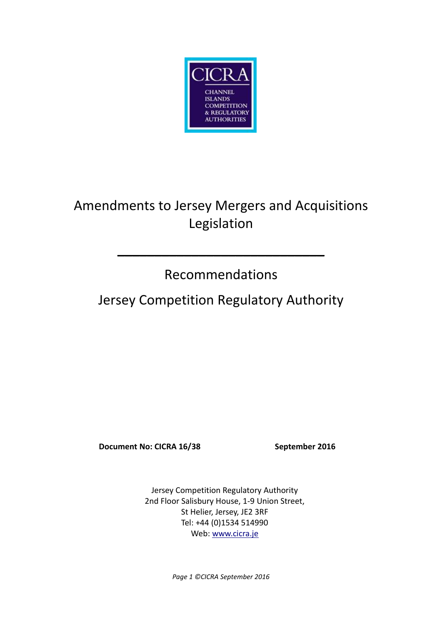

# Amendments to Jersey Mergers and Acquisitions Legislation

## Recommendations

**\_\_\_\_\_\_\_\_\_\_\_\_\_\_\_\_\_\_\_\_\_\_\_\_\_\_\_\_**

## Jersey Competition Regulatory Authority

**Document No: CICRA 16/38 September 2016**

Jersey Competition Regulatory Authority 2nd Floor Salisbury House, 1-9 Union Street, St Helier, Jersey, JE2 3RF Tel: +44 (0)1534 514990 Web[: www.cicra.je](http://www.cicra.je/)

*Page 1 ©CICRA September 2016*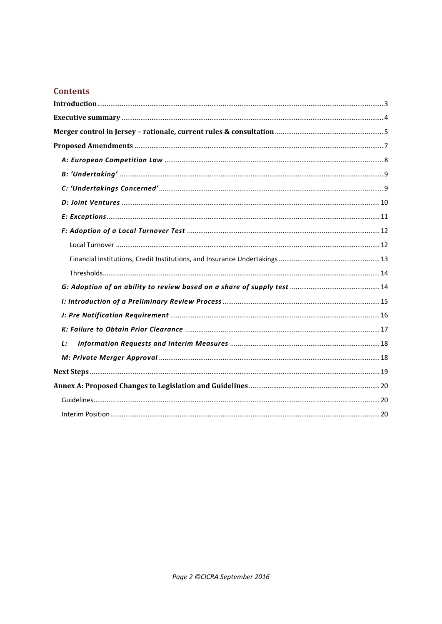#### **Contents**

| L: |  |
|----|--|
|    |  |
|    |  |
|    |  |
|    |  |
|    |  |
|    |  |
|    |  |
|    |  |
|    |  |
|    |  |
|    |  |
|    |  |
|    |  |
|    |  |
|    |  |
|    |  |
|    |  |
|    |  |
|    |  |
|    |  |
|    |  |
|    |  |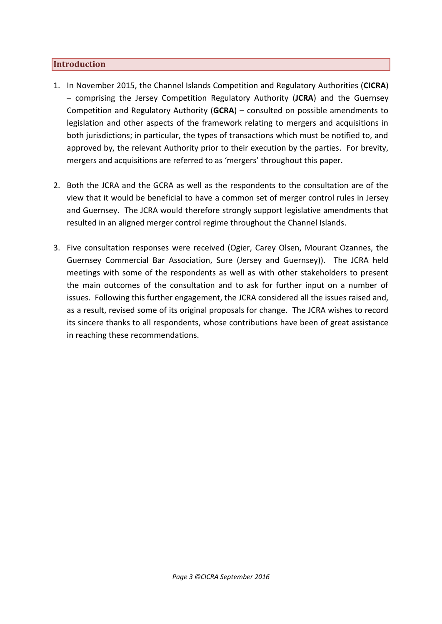#### <span id="page-2-0"></span>**Introduction**

- 1. In November 2015, the Channel Islands Competition and Regulatory Authorities (**CICRA**) – comprising the Jersey Competition Regulatory Authority (**JCRA**) and the Guernsey Competition and Regulatory Authority (**GCRA**) – consulted on possible amendments to legislation and other aspects of the framework relating to mergers and acquisitions in both jurisdictions; in particular, the types of transactions which must be notified to, and approved by, the relevant Authority prior to their execution by the parties. For brevity, mergers and acquisitions are referred to as 'mergers' throughout this paper.
- 2. Both the JCRA and the GCRA as well as the respondents to the consultation are of the view that it would be beneficial to have a common set of merger control rules in Jersey and Guernsey. The JCRA would therefore strongly support legislative amendments that resulted in an aligned merger control regime throughout the Channel Islands.
- 3. Five consultation responses were received (Ogier, Carey Olsen, Mourant Ozannes, the Guernsey Commercial Bar Association, Sure (Jersey and Guernsey)). The JCRA held meetings with some of the respondents as well as with other stakeholders to present the main outcomes of the consultation and to ask for further input on a number of issues. Following this further engagement, the JCRA considered all the issues raised and, as a result, revised some of its original proposals for change. The JCRA wishes to record its sincere thanks to all respondents, whose contributions have been of great assistance in reaching these recommendations.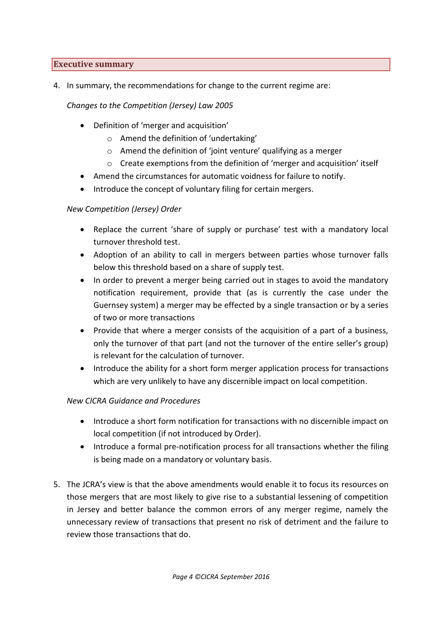#### <span id="page-3-0"></span>**Executive summary**

4. In summary, the recommendations for change to the current regime are:

*Changes to the Competition (Jersey) Law 2005*

- Definition of 'merger and acquisition'
	- o Amend the definition of 'undertaking'
	- $\circ$  Amend the definition of 'ioint venture' qualifying as a merger
	- $\circ$  Create exemptions from the definition of 'merger and acquisition' itself
- Amend the circumstances for automatic voidness for failure to notify.
- Introduce the concept of voluntary filing for certain mergers.

#### *New Competition (Jersey) Order*

- Replace the current 'share of supply or purchase' test with a mandatory local turnover threshold test.
- Adoption of an ability to call in mergers between parties whose turnover falls below this threshold based on a share of supply test.
- In order to prevent a merger being carried out in stages to avoid the mandatory notification requirement, provide that (as is currently the case under the Guernsey system) a merger may be effected by a single transaction or by a series of two or more transactions
- Provide that where a merger consists of the acquisition of a part of a business, only the turnover of that part (and not the turnover of the entire seller's group) is relevant for the calculation of turnover.
- Introduce the ability for a short form merger application process for transactions which are very unlikely to have any discernible impact on local competition.

#### *New CICRA Guidance and Procedures*

- Introduce a short form notification for transactions with no discernible impact on local competition (if not introduced by Order).
- Introduce a formal pre-notification process for all transactions whether the filing is being made on a mandatory or voluntary basis.
- 5. The JCRA's view is that the above amendments would enable it to focus its resources on those mergers that are most likely to give rise to a substantial lessening of competition in Jersey and better balance the common errors of any merger regime, namely the unnecessary review of transactions that present no risk of detriment and the failure to review those transactions that do.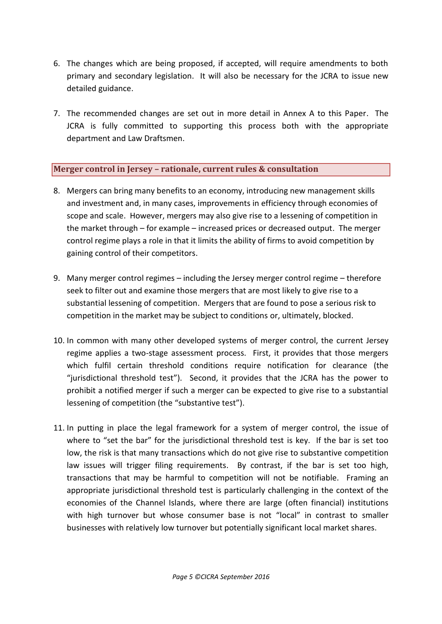- 6. The changes which are being proposed, if accepted, will require amendments to both primary and secondary legislation. It will also be necessary for the JCRA to issue new detailed guidance.
- 7. The recommended changes are set out in more detail in Annex A to this Paper. The JCRA is fully committed to supporting this process both with the appropriate department and Law Draftsmen.

### <span id="page-4-0"></span>**Merger control in Jersey – rationale, current rules & consultation**

- 8. Mergers can bring many benefits to an economy, introducing new management skills and investment and, in many cases, improvements in efficiency through economies of scope and scale. However, mergers may also give rise to a lessening of competition in the market through – for example – increased prices or decreased output. The merger control regime plays a role in that it limits the ability of firms to avoid competition by gaining control of their competitors.
- 9. Many merger control regimes including the Jersey merger control regime therefore seek to filter out and examine those mergers that are most likely to give rise to a substantial lessening of competition. Mergers that are found to pose a serious risk to competition in the market may be subject to conditions or, ultimately, blocked.
- 10. In common with many other developed systems of merger control, the current Jersey regime applies a two-stage assessment process. First, it provides that those mergers which fulfil certain threshold conditions require notification for clearance (the "jurisdictional threshold test"). Second, it provides that the JCRA has the power to prohibit a notified merger if such a merger can be expected to give rise to a substantial lessening of competition (the "substantive test").
- 11. In putting in place the legal framework for a system of merger control, the issue of where to "set the bar" for the jurisdictional threshold test is key. If the bar is set too low, the risk is that many transactions which do not give rise to substantive competition law issues will trigger filing requirements. By contrast, if the bar is set too high, transactions that may be harmful to competition will not be notifiable. Framing an appropriate jurisdictional threshold test is particularly challenging in the context of the economies of the Channel Islands, where there are large (often financial) institutions with high turnover but whose consumer base is not "local" in contrast to smaller businesses with relatively low turnover but potentially significant local market shares.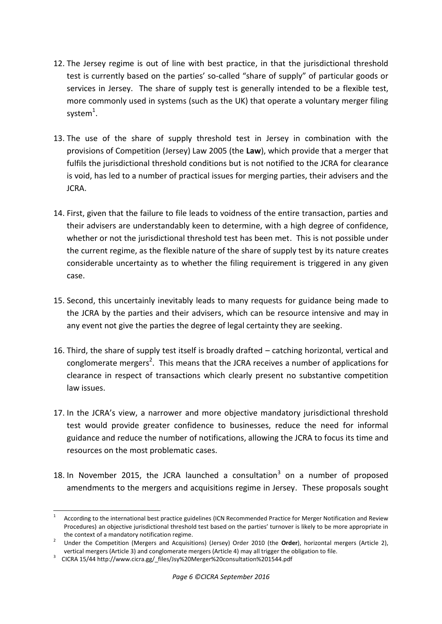- 12. The Jersey regime is out of line with best practice, in that the jurisdictional threshold test is currently based on the parties' so-called "share of supply" of particular goods or services in Jersey. The share of supply test is generally intended to be a flexible test, more commonly used in systems (such as the UK) that operate a voluntary merger filing system $^1$ .
- 13. The use of the share of supply threshold test in Jersey in combination with the provisions of Competition (Jersey) Law 2005 (the **Law**), which provide that a merger that fulfils the jurisdictional threshold conditions but is not notified to the JCRA for clearance is void, has led to a number of practical issues for merging parties, their advisers and the JCRA.
- 14. First, given that the failure to file leads to voidness of the entire transaction, parties and their advisers are understandably keen to determine, with a high degree of confidence, whether or not the jurisdictional threshold test has been met. This is not possible under the current regime, as the flexible nature of the share of supply test by its nature creates considerable uncertainty as to whether the filing requirement is triggered in any given case.
- 15. Second, this uncertainly inevitably leads to many requests for guidance being made to the JCRA by the parties and their advisers, which can be resource intensive and may in any event not give the parties the degree of legal certainty they are seeking.
- 16. Third, the share of supply test itself is broadly drafted catching horizontal, vertical and conglomerate mergers<sup>2</sup>. This means that the JCRA receives a number of applications for clearance in respect of transactions which clearly present no substantive competition law issues.
- 17. In the JCRA's view, a narrower and more objective mandatory jurisdictional threshold test would provide greater confidence to businesses, reduce the need for informal guidance and reduce the number of notifications, allowing the JCRA to focus its time and resources on the most problematic cases.
- 18. In November 2015, the JCRA launched a consultation $3$  on a number of proposed amendments to the mergers and acquisitions regime in Jersey. These proposals sought

 $\frac{1}{1}$ According to the international best practice guidelines (ICN Recommended Practice for Merger Notification and Review Procedures) an objective jurisdictional threshold test based on the parties' turnover is likely to be more appropriate in the context of a mandatory notification regime.

<sup>2</sup> Under the Competition (Mergers and Acquisitions) (Jersey) Order 2010 (the **Order**), horizontal mergers (Article 2), vertical mergers (Article 3) and conglomerate mergers (Article 4) may all trigger the obligation to file.

<sup>&</sup>lt;sup>3</sup> CICRA 15/44 [http://www.cicra.gg/\\_files/Jsy%20Merger%20consultation%201544.pdf](http://www.cicra.gg/_files/Jsy%20Merger%20consultation%201544.pdf)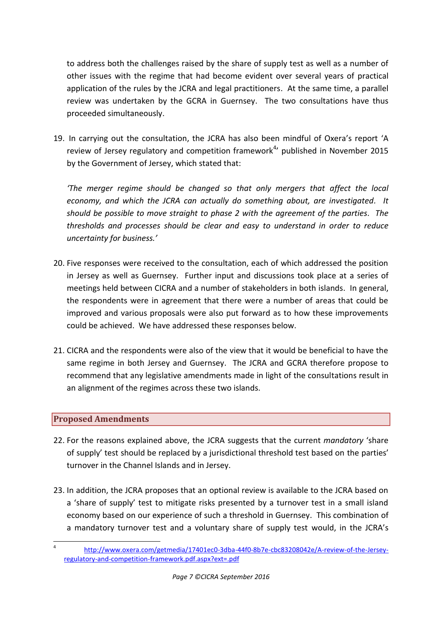to address both the challenges raised by the share of supply test as well as a number of other issues with the regime that had become evident over several years of practical application of the rules by the JCRA and legal practitioners. At the same time, a parallel review was undertaken by the GCRA in Guernsey. The two consultations have thus proceeded simultaneously.

19. In carrying out the consultation, the JCRA has also been mindful of Oxera's report 'A review of Jersey regulatory and competition framework $4$ <sup>,</sup> published in November 2015 by the Government of Jersey, which stated that:

*'The merger regime should be changed so that only mergers that affect the local economy, and which the JCRA can actually do something about, are investigated. It should be possible to move straight to phase 2 with the agreement of the parties. The thresholds and processes should be clear and easy to understand in order to reduce uncertainty for business.'*

- 20. Five responses were received to the consultation, each of which addressed the position in Jersey as well as Guernsey. Further input and discussions took place at a series of meetings held between CICRA and a number of stakeholders in both islands. In general, the respondents were in agreement that there were a number of areas that could be improved and various proposals were also put forward as to how these improvements could be achieved. We have addressed these responses below.
- 21. CICRA and the respondents were also of the view that it would be beneficial to have the same regime in both Jersey and Guernsey. The JCRA and GCRA therefore propose to recommend that any legislative amendments made in light of the consultations result in an alignment of the regimes across these two islands.

### <span id="page-6-0"></span>**Proposed Amendments**

- 22. For the reasons explained above, the JCRA suggests that the current *mandatory* 'share of supply' test should be replaced by a jurisdictional threshold test based on the parties' turnover in the Channel Islands and in Jersey.
- 23. In addition, the JCRA proposes that an optional review is available to the JCRA based on a 'share of supply' test to mitigate risks presented by a turnover test in a small island economy based on our experience of such a threshold in Guernsey. This combination of a mandatory turnover test and a voluntary share of supply test would, in the JCRA's

 $\frac{1}{4}$ [http://www.oxera.com/getmedia/17401ec0-3dba-44f0-8b7e-cbc83208042e/A-review-of-the-Jersey](http://www.oxera.com/getmedia/17401ec0-3dba-44f0-8b7e-cbc83208042e/A-review-of-the-Jersey-regulatory-and-competition-framework.pdf.aspx?ext=.pdf)[regulatory-and-competition-framework.pdf.aspx?ext=.pdf](http://www.oxera.com/getmedia/17401ec0-3dba-44f0-8b7e-cbc83208042e/A-review-of-the-Jersey-regulatory-and-competition-framework.pdf.aspx?ext=.pdf)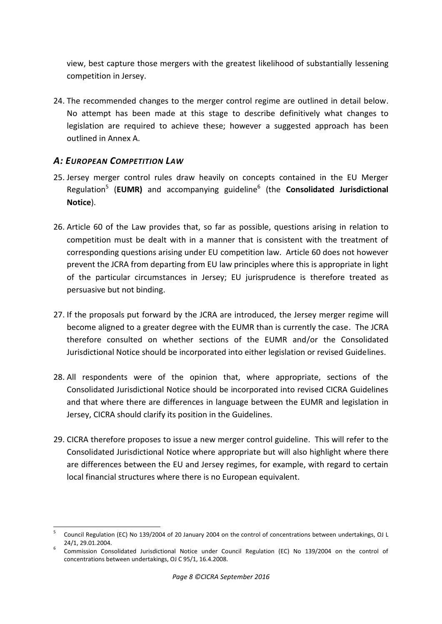view, best capture those mergers with the greatest likelihood of substantially lessening competition in Jersey.

24. The recommended changes to the merger control regime are outlined in detail below. No attempt has been made at this stage to describe definitively what changes to legislation are required to achieve these; however a suggested approach has been outlined in Annex A.

## <span id="page-7-0"></span>*A: EUROPEAN COMPETITION LAW*

- 25. Jersey merger control rules draw heavily on concepts contained in the EU Merger Regulation<sup>5</sup> (EUMR) and accompanying guideline<sup>6</sup> (the **Consolidated Jurisdictional Notice**).
- 26. Article 60 of the Law provides that, so far as possible, questions arising in relation to competition must be dealt with in a manner that is consistent with the treatment of corresponding questions arising under EU competition law. Article 60 does not however prevent the JCRA from departing from EU law principles where this is appropriate in light of the particular circumstances in Jersey; EU jurisprudence is therefore treated as persuasive but not binding.
- 27. If the proposals put forward by the JCRA are introduced, the Jersey merger regime will become aligned to a greater degree with the EUMR than is currently the case. The JCRA therefore consulted on whether sections of the EUMR and/or the Consolidated Jurisdictional Notice should be incorporated into either legislation or revised Guidelines.
- 28. All respondents were of the opinion that, where appropriate, sections of the Consolidated Jurisdictional Notice should be incorporated into revised CICRA Guidelines and that where there are differences in language between the EUMR and legislation in Jersey, CICRA should clarify its position in the Guidelines.
- 29. CICRA therefore proposes to issue a new merger control guideline. This will refer to the Consolidated Jurisdictional Notice where appropriate but will also highlight where there are differences between the EU and Jersey regimes, for example, with regard to certain local financial structures where there is no European equivalent.

 5 Council Regulation (EC) No 139/2004 of 20 January 2004 on the [control of concentrations between undertakings, OJ](http://eur-lex.europa.eu/LexUriServ/LexUriServ.do?uri=CELEX:32004R0139:EN:NOT) L 24/1, 29.01.2004.

<sup>&</sup>lt;sup>6</sup> Commission Consolidated Jurisdictional Notice under Council Regulation (EC) No 139/2004 on the control of concentrations between undertakings, OJ C 95/1, 16.4.2008.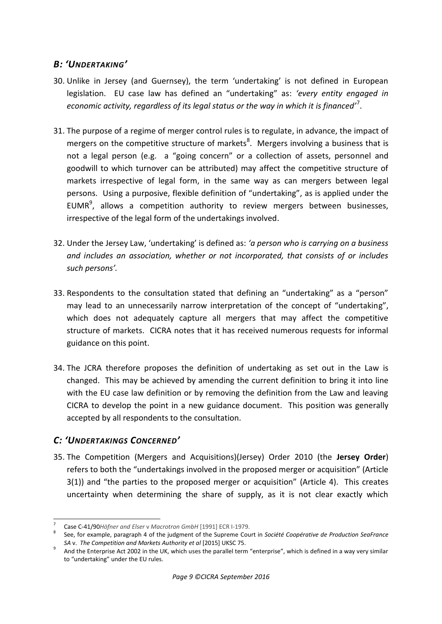## <span id="page-8-0"></span>*B: 'UNDERTAKING'*

- 30. Unlike in Jersey (and Guernsey), the term 'undertaking' is not defined in European legislation. EU case law has defined an "undertaking" as: *'every entity engaged in economic activity, regardless of its legal status or the way in which it is financed'*<sup>7</sup> .
- 31. The purpose of a regime of merger control rules is to regulate, in advance, the impact of mergers on the competitive structure of markets<sup>8</sup>. Mergers involving a business that is not a legal person (e.g. a "going concern" or a collection of assets, personnel and goodwill to which turnover can be attributed) may affect the competitive structure of markets irrespective of legal form, in the same way as can mergers between legal persons. Using a purposive, flexible definition of "undertaking", as is applied under the EUMR $<sup>9</sup>$ , allows a competition authority to review mergers between businesses,</sup> irrespective of the legal form of the undertakings involved.
- 32. Under the Jersey Law, 'undertaking' is defined as: *'a person who is carrying on a business and includes an association, whether or not incorporated, that consists of or includes such persons'.*
- 33. Respondents to the consultation stated that defining an "undertaking" as a "person" may lead to an unnecessarily narrow interpretation of the concept of "undertaking", which does not adequately capture all mergers that may affect the competitive structure of markets. CICRA notes that it has received numerous requests for informal guidance on this point.
- 34. The JCRA therefore proposes the definition of undertaking as set out in the Law is changed. This may be achieved by amending the current definition to bring it into line with the EU case law definition or by removing the definition from the Law and leaving CICRA to develop the point in a new guidance document. This position was generally accepted by all respondents to the consultation.

## <span id="page-8-1"></span>*C: 'UNDERTAKINGS CONCERNED'*

35. The Competition (Mergers and Acquisitions)(Jersey) Order 2010 (the **Jersey Order**) refers to both the "undertakings involved in the proposed merger or acquisition" (Article 3(1)) and "the parties to the proposed merger or acquisition" (Article 4). This creates uncertainty when determining the share of supply, as it is not clear exactly which

 7 Case C-41/90*Höfner and Elser* v *Macrotron GmbH* [1991] ECR I-1979.

<sup>8</sup> See, for example, paragraph 4 of the judgment of the Supreme Court in *Société Coopérative de Production SeaFrance SA* v. *The Competition and Markets Authority et al* [2015] UKSC 75.

<sup>&</sup>lt;sup>9</sup> And the Enterprise Act 2002 in the UK, which uses the parallel term "enterprise", which is defined in a way very similar to "undertaking" under the EU rules.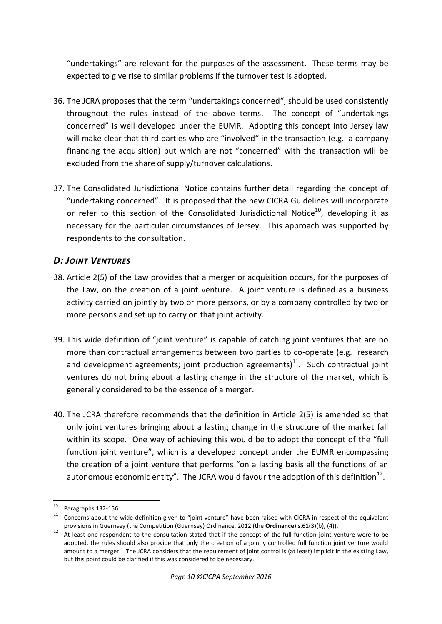"undertakings" are relevant for the purposes of the assessment. These terms may be expected to give rise to similar problems if the turnover test is adopted.

- 36. The JCRA proposes that the term "undertakings concerned", should be used consistently throughout the rules instead of the above terms. The concept of "undertakings concerned" is well developed under the EUMR. Adopting this concept into Jersey law will make clear that third parties who are "involved" in the transaction (e.g. a company financing the acquisition) but which are not "concerned" with the transaction will be excluded from the share of supply/turnover calculations.
- 37. The Consolidated Jurisdictional Notice contains further detail regarding the concept of "undertaking concerned". It is proposed that the new CICRA Guidelines will incorporate or refer to this section of the Consolidated Jurisdictional Notice $10$ , developing it as necessary for the particular circumstances of Jersey. This approach was supported by respondents to the consultation.

## <span id="page-9-0"></span>*D: JOINT VENTURES*

- 38. Article 2(5) of the Law provides that a merger or acquisition occurs, for the purposes of the Law, on the creation of a joint venture. A joint venture is defined as a business activity carried on jointly by two or more persons, or by a company controlled by two or more persons and set up to carry on that joint activity.
- 39. This wide definition of "joint venture" is capable of catching joint ventures that are no more than contractual arrangements between two parties to co-operate (e.g. research and development agreements; joint production agreements) $^{11}$ . Such contractual joint ventures do not bring about a lasting change in the structure of the market, which is generally considered to be the essence of a merger.
- 40. The JCRA therefore recommends that the definition in Article 2(5) is amended so that only joint ventures bringing about a lasting change in the structure of the market fall within its scope. One way of achieving this would be to adopt the concept of the "full function joint venture", which is a developed concept under the EUMR encompassing the creation of a joint venture that performs "on a lasting basis all the functions of an autonomous economic entity". The JCRA would favour the adoption of this definition $^{12}$ .

<sup>-</sup> $10$  Paragraphs 132-156.

<sup>11</sup> Concerns about the wide definition given to "joint venture" have been raised with CICRA in respect of the equivalent provisions in Guernsey (the Competition (Guernsey) Ordinance, 2012 (the **Ordinance**) s.61(3)(b), (4)).

<sup>12</sup> At least one respondent to the consultation stated that if the concept of the full function joint venture were to be adopted, the rules should also provide that only the creation of a jointly controlled full function joint venture would amount to a merger. The JCRA considers that the requirement of joint control is (at least) implicit in the existing Law, but this point could be clarified if this was considered to be necessary.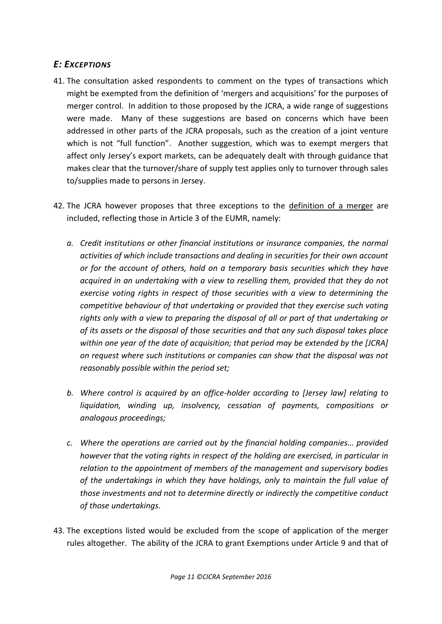## <span id="page-10-0"></span>*E: EXCEPTIONS*

- 41. The consultation asked respondents to comment on the types of transactions which might be exempted from the definition of 'mergers and acquisitions' for the purposes of merger control. In addition to those proposed by the JCRA, a wide range of suggestions were made. Many of these suggestions are based on concerns which have been addressed in other parts of the JCRA proposals, such as the creation of a joint venture which is not "full function". Another suggestion, which was to exempt mergers that affect only Jersey's export markets, can be adequately dealt with through guidance that makes clear that the turnover/share of supply test applies only to turnover through sales to/supplies made to persons in Jersey.
- 42. The JCRA however proposes that three exceptions to the definition of a merger are included, reflecting those in Article 3 of the EUMR, namely:
	- *a. Credit institutions or other financial institutions or insurance companies, the normal activities of which include transactions and dealing in securities for their own account or for the account of others, hold on a temporary basis securities which they have acquired in an undertaking with a view to reselling them, provided that they do not exercise voting rights in respect of those securities with a view to determining the competitive behaviour of that undertaking or provided that they exercise such voting rights only with a view to preparing the disposal of all or part of that undertaking or of its assets or the disposal of those securities and that any such disposal takes place within one year of the date of acquisition; that period may be extended by the [JCRA] on request where such institutions or companies can show that the disposal was not reasonably possible within the period set;*
	- *b. Where control is acquired by an office-holder according to [Jersey law] relating to liquidation, winding up, insolvency, cessation of payments, compositions or analogous proceedings;*
	- *c. Where the operations are carried out by the financial holding companies… provided however that the voting rights in respect of the holding are exercised, in particular in relation to the appointment of members of the management and supervisory bodies of the undertakings in which they have holdings, only to maintain the full value of those investments and not to determine directly or indirectly the competitive conduct of those undertakings.*
- 43. The exceptions listed would be excluded from the scope of application of the merger rules altogether. The ability of the JCRA to grant Exemptions under Article 9 and that of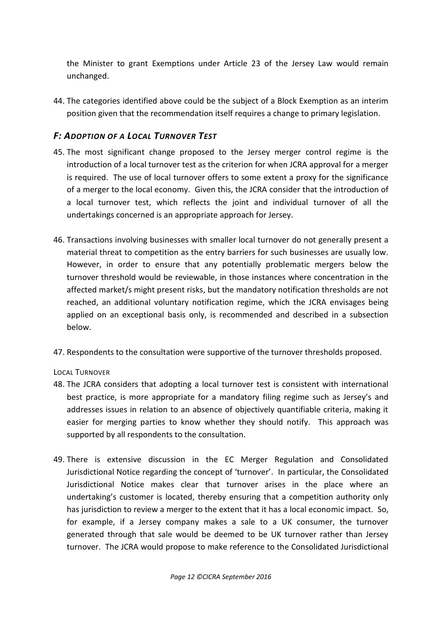the Minister to grant Exemptions under Article 23 of the Jersey Law would remain unchanged.

44. The categories identified above could be the subject of a Block Exemption as an interim position given that the recommendation itself requires a change to primary legislation.

## <span id="page-11-0"></span>*F: ADOPTION OF A LOCAL TURNOVER TEST*

- 45. The most significant change proposed to the Jersey merger control regime is the introduction of a local turnover test as the criterion for when JCRA approval for a merger is required. The use of local turnover offers to some extent a proxy for the significance of a merger to the local economy. Given this, the JCRA consider that the introduction of a local turnover test, which reflects the joint and individual turnover of all the undertakings concerned is an appropriate approach for Jersey.
- 46. Transactions involving businesses with smaller local turnover do not generally present a material threat to competition as the entry barriers for such businesses are usually low. However, in order to ensure that any potentially problematic mergers below the turnover threshold would be reviewable, in those instances where concentration in the affected market/s might present risks, but the mandatory notification thresholds are not reached, an additional voluntary notification regime, which the JCRA envisages being applied on an exceptional basis only, is recommended and described in a subsection below.
- 47. Respondents to the consultation were supportive of the turnover thresholds proposed.

<span id="page-11-1"></span>LOCAL TURNOVER

- 48. The JCRA considers that adopting a local turnover test is consistent with international best practice, is more appropriate for a mandatory filing regime such as Jersey's and addresses issues in relation to an absence of objectively quantifiable criteria, making it easier for merging parties to know whether they should notify. This approach was supported by all respondents to the consultation.
- 49. There is extensive discussion in the EC Merger Regulation and Consolidated Jurisdictional Notice regarding the concept of 'turnover'. In particular, the Consolidated Jurisdictional Notice makes clear that turnover arises in the place where an undertaking's customer is located, thereby ensuring that a competition authority only has jurisdiction to review a merger to the extent that it has a local economic impact. So, for example, if a Jersey company makes a sale to a UK consumer, the turnover generated through that sale would be deemed to be UK turnover rather than Jersey turnover. The JCRA would propose to make reference to the Consolidated Jurisdictional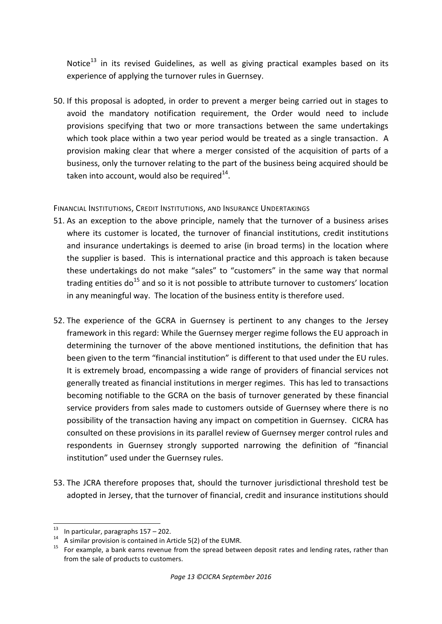Notice<sup>13</sup> in its revised Guidelines, as well as giving practical examples based on its experience of applying the turnover rules in Guernsey.

50. If this proposal is adopted, in order to prevent a merger being carried out in stages to avoid the mandatory notification requirement, the Order would need to include provisions specifying that two or more transactions between the same undertakings which took place within a two year period would be treated as a single transaction. A provision making clear that where a merger consisted of the acquisition of parts of a business, only the turnover relating to the part of the business being acquired should be taken into account, would also be required $^{14}$ .

<span id="page-12-0"></span>FINANCIAL INSTITUTIONS, CREDIT INSTITUTIONS, AND INSURANCE UNDERTAKINGS

- 51. As an exception to the above principle, namely that the turnover of a business arises where its customer is located, the turnover of financial institutions, credit institutions and insurance undertakings is deemed to arise (in broad terms) in the location where the supplier is based. This is international practice and this approach is taken because these undertakings do not make "sales" to "customers" in the same way that normal trading entities  $do^{15}$  and so it is not possible to attribute turnover to customers' location in any meaningful way. The location of the business entity is therefore used.
- 52. The experience of the GCRA in Guernsey is pertinent to any changes to the Jersey framework in this regard: While the Guernsey merger regime follows the EU approach in determining the turnover of the above mentioned institutions, the definition that has been given to the term "financial institution" is different to that used under the EU rules. It is extremely broad, encompassing a wide range of providers of financial services not generally treated as financial institutions in merger regimes. This has led to transactions becoming notifiable to the GCRA on the basis of turnover generated by these financial service providers from sales made to customers outside of Guernsey where there is no possibility of the transaction having any impact on competition in Guernsey. CICRA has consulted on these provisions in its parallel review of Guernsey merger control rules and respondents in Guernsey strongly supported narrowing the definition of "financial institution" used under the Guernsey rules.
- 53. The JCRA therefore proposes that, should the turnover jurisdictional threshold test be adopted in Jersey, that the turnover of financial, credit and insurance institutions should

 $13$ In particular, paragraphs  $157 - 202$ .

 $14$  A similar provision is contained in Article 5(2) of the EUMR.

<sup>15</sup> For example, a bank earns revenue from the spread between deposit rates and lending rates, rather than from the sale of products to customers.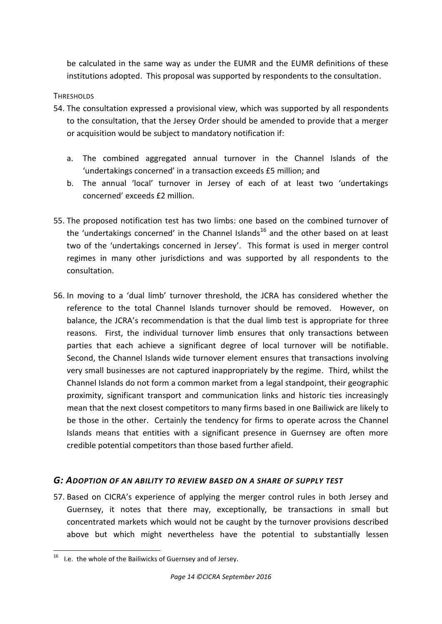be calculated in the same way as under the EUMR and the EUMR definitions of these institutions adopted. This proposal was supported by respondents to the consultation.

### <span id="page-13-0"></span>THRESHOLDS

- 54. The consultation expressed a provisional view, which was supported by all respondents to the consultation, that the Jersey Order should be amended to provide that a merger or acquisition would be subject to mandatory notification if:
	- a. The combined aggregated annual turnover in the Channel Islands of the 'undertakings concerned' in a transaction exceeds £5 million; and
	- b. The annual 'local' turnover in Jersey of each of at least two 'undertakings concerned' exceeds £2 million.
- 55. The proposed notification test has two limbs: one based on the combined turnover of the 'undertakings concerned' in the Channel Islands<sup>16</sup> and the other based on at least two of the 'undertakings concerned in Jersey'. This format is used in merger control regimes in many other jurisdictions and was supported by all respondents to the consultation.
- 56. In moving to a 'dual limb' turnover threshold, the JCRA has considered whether the reference to the total Channel Islands turnover should be removed. However, on balance, the JCRA's recommendation is that the dual limb test is appropriate for three reasons. First, the individual turnover limb ensures that only transactions between parties that each achieve a significant degree of local turnover will be notifiable. Second, the Channel Islands wide turnover element ensures that transactions involving very small businesses are not captured inappropriately by the regime. Third, whilst the Channel Islands do not form a common market from a legal standpoint, their geographic proximity, significant transport and communication links and historic ties increasingly mean that the next closest competitors to many firms based in one Bailiwick are likely to be those in the other. Certainly the tendency for firms to operate across the Channel Islands means that entities with a significant presence in Guernsey are often more credible potential competitors than those based further afield.

### <span id="page-13-1"></span>*G: ADOPTION OF AN ABILITY TO REVIEW BASED ON A SHARE OF SUPPLY TEST*

57. Based on CICRA's experience of applying the merger control rules in both Jersey and Guernsey, it notes that there may, exceptionally, be transactions in small but concentrated markets which would not be caught by the turnover provisions described above but which might nevertheless have the potential to substantially lessen

**<sup>.</sup>**  $16$  I.e. the whole of the Bailiwicks of Guernsey and of Jersey.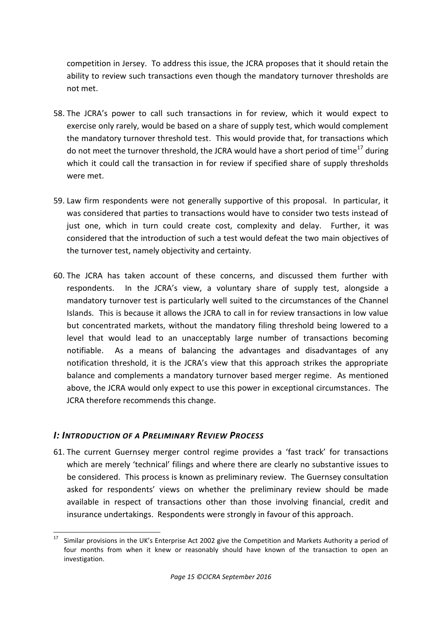competition in Jersey. To address this issue, the JCRA proposes that it should retain the ability to review such transactions even though the mandatory turnover thresholds are not met.

- 58. The JCRA's power to call such transactions in for review, which it would expect to exercise only rarely, would be based on a share of supply test, which would complement the mandatory turnover threshold test. This would provide that, for transactions which do not meet the turnover threshold, the JCRA would have a short period of time<sup>17</sup> during which it could call the transaction in for review if specified share of supply thresholds were met.
- 59. Law firm respondents were not generally supportive of this proposal. In particular, it was considered that parties to transactions would have to consider two tests instead of just one, which in turn could create cost, complexity and delay. Further, it was considered that the introduction of such a test would defeat the two main objectives of the turnover test, namely objectivity and certainty.
- 60. The JCRA has taken account of these concerns, and discussed them further with respondents. In the JCRA's view, a voluntary share of supply test, alongside a mandatory turnover test is particularly well suited to the circumstances of the Channel Islands. This is because it allows the JCRA to call in for review transactions in low value but concentrated markets, without the mandatory filing threshold being lowered to a level that would lead to an unacceptably large number of transactions becoming notifiable. As a means of balancing the advantages and disadvantages of any notification threshold, it is the JCRA's view that this approach strikes the appropriate balance and complements a mandatory turnover based merger regime. As mentioned above, the JCRA would only expect to use this power in exceptional circumstances. The JCRA therefore recommends this change.

## <span id="page-14-0"></span>*I: INTRODUCTION OF A PRELIMINARY REVIEW PROCESS*

61. The current Guernsey merger control regime provides a 'fast track' for transactions which are merely 'technical' filings and where there are clearly no substantive issues to be considered. This process is known as preliminary review. The Guernsey consultation asked for respondents' views on whether the preliminary review should be made available in respect of transactions other than those involving financial, credit and insurance undertakings. Respondents were strongly in favour of this approach.

<sup>17</sup> Similar provisions in the UK's Enterprise Act 2002 give the Competition and Markets Authority a period of four months from when it knew or reasonably should have known of the transaction to open an investigation.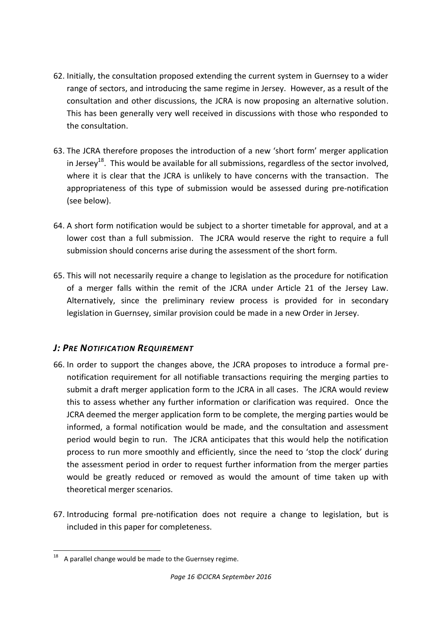- 62. Initially, the consultation proposed extending the current system in Guernsey to a wider range of sectors, and introducing the same regime in Jersey. However, as a result of the consultation and other discussions, the JCRA is now proposing an alternative solution. This has been generally very well received in discussions with those who responded to the consultation.
- 63. The JCRA therefore proposes the introduction of a new 'short form' merger application in Jersey<sup>18</sup>. This would be available for all submissions, regardless of the sector involved, where it is clear that the JCRA is unlikely to have concerns with the transaction. The appropriateness of this type of submission would be assessed during pre-notification (see below).
- 64. A short form notification would be subject to a shorter timetable for approval, and at a lower cost than a full submission. The JCRA would reserve the right to require a full submission should concerns arise during the assessment of the short form.
- 65. This will not necessarily require a change to legislation as the procedure for notification of a merger falls within the remit of the JCRA under Article 21 of the Jersey Law. Alternatively, since the preliminary review process is provided for in secondary legislation in Guernsey, similar provision could be made in a new Order in Jersey.

## <span id="page-15-0"></span>*J: PRE NOTIFICATION REQUIREMENT*

- 66. In order to support the changes above, the JCRA proposes to introduce a formal prenotification requirement for all notifiable transactions requiring the merging parties to submit a draft merger application form to the JCRA in all cases. The JCRA would review this to assess whether any further information or clarification was required. Once the JCRA deemed the merger application form to be complete, the merging parties would be informed, a formal notification would be made, and the consultation and assessment period would begin to run. The JCRA anticipates that this would help the notification process to run more smoothly and efficiently, since the need to 'stop the clock' during the assessment period in order to request further information from the merger parties would be greatly reduced or removed as would the amount of time taken up with theoretical merger scenarios.
- 67. Introducing formal pre-notification does not require a change to legislation, but is included in this paper for completeness.

**<sup>.</sup>** A parallel change would be made to the Guernsey regime.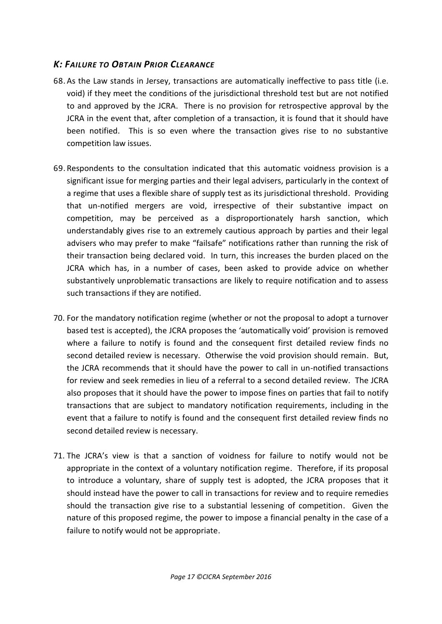## <span id="page-16-0"></span>*K: FAILURE TO OBTAIN PRIOR CLEARANCE*

- 68. As the Law stands in Jersey, transactions are automatically ineffective to pass title (i.e. void) if they meet the conditions of the jurisdictional threshold test but are not notified to and approved by the JCRA. There is no provision for retrospective approval by the JCRA in the event that, after completion of a transaction, it is found that it should have been notified. This is so even where the transaction gives rise to no substantive competition law issues.
- 69. Respondents to the consultation indicated that this automatic voidness provision is a significant issue for merging parties and their legal advisers, particularly in the context of a regime that uses a flexible share of supply test as its jurisdictional threshold. Providing that un-notified mergers are void, irrespective of their substantive impact on competition, may be perceived as a disproportionately harsh sanction, which understandably gives rise to an extremely cautious approach by parties and their legal advisers who may prefer to make "failsafe" notifications rather than running the risk of their transaction being declared void. In turn, this increases the burden placed on the JCRA which has, in a number of cases, been asked to provide advice on whether substantively unproblematic transactions are likely to require notification and to assess such transactions if they are notified.
- 70. For the mandatory notification regime (whether or not the proposal to adopt a turnover based test is accepted), the JCRA proposes the 'automatically void' provision is removed where a failure to notify is found and the consequent first detailed review finds no second detailed review is necessary. Otherwise the void provision should remain. But, the JCRA recommends that it should have the power to call in un-notified transactions for review and seek remedies in lieu of a referral to a second detailed review. The JCRA also proposes that it should have the power to impose fines on parties that fail to notify transactions that are subject to mandatory notification requirements, including in the event that a failure to notify is found and the consequent first detailed review finds no second detailed review is necessary.
- 71. The JCRA's view is that a sanction of voidness for failure to notify would not be appropriate in the context of a voluntary notification regime. Therefore, if its proposal to introduce a voluntary, share of supply test is adopted, the JCRA proposes that it should instead have the power to call in transactions for review and to require remedies should the transaction give rise to a substantial lessening of competition. Given the nature of this proposed regime, the power to impose a financial penalty in the case of a failure to notify would not be appropriate.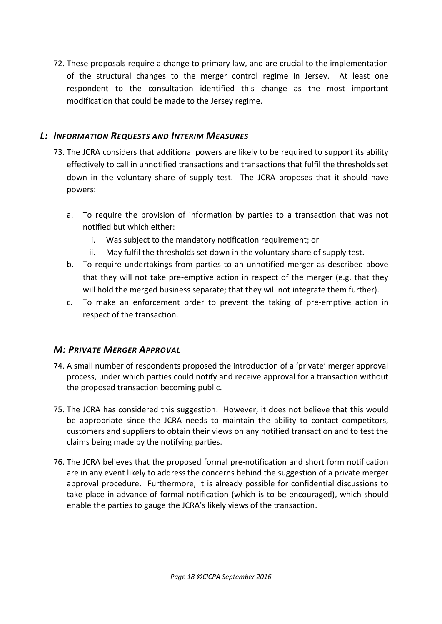72. These proposals require a change to primary law, and are crucial to the implementation of the structural changes to the merger control regime in Jersey. At least one respondent to the consultation identified this change as the most important modification that could be made to the Jersey regime.

## <span id="page-17-0"></span>*L: INFORMATION REQUESTS AND INTERIM MEASURES*

- 73. The JCRA considers that additional powers are likely to be required to support its ability effectively to call in unnotified transactions and transactions that fulfil the thresholds set down in the voluntary share of supply test. The JCRA proposes that it should have powers:
	- a. To require the provision of information by parties to a transaction that was not notified but which either:
		- i. Was subject to the mandatory notification requirement; or
		- ii. May fulfil the thresholds set down in the voluntary share of supply test.
	- b. To require undertakings from parties to an unnotified merger as described above that they will not take pre-emptive action in respect of the merger (e.g. that they will hold the merged business separate; that they will not integrate them further).
	- c. To make an enforcement order to prevent the taking of pre-emptive action in respect of the transaction.

## <span id="page-17-1"></span>*M: PRIVATE MERGER APPROVAL*

- 74. A small number of respondents proposed the introduction of a 'private' merger approval process, under which parties could notify and receive approval for a transaction without the proposed transaction becoming public.
- 75. The JCRA has considered this suggestion. However, it does not believe that this would be appropriate since the JCRA needs to maintain the ability to contact competitors, customers and suppliers to obtain their views on any notified transaction and to test the claims being made by the notifying parties.
- 76. The JCRA believes that the proposed formal pre-notification and short form notification are in any event likely to address the concerns behind the suggestion of a private merger approval procedure. Furthermore, it is already possible for confidential discussions to take place in advance of formal notification (which is to be encouraged), which should enable the parties to gauge the JCRA's likely views of the transaction.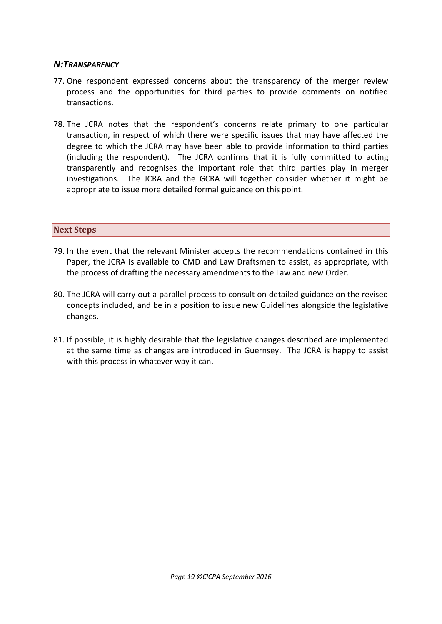### *N:TRANSPARENCY*

- 77. One respondent expressed concerns about the transparency of the merger review process and the opportunities for third parties to provide comments on notified transactions.
- 78. The JCRA notes that the respondent's concerns relate primary to one particular transaction, in respect of which there were specific issues that may have affected the degree to which the JCRA may have been able to provide information to third parties (including the respondent). The JCRA confirms that it is fully committed to acting transparently and recognises the important role that third parties play in merger investigations. The JCRA and the GCRA will together consider whether it might be appropriate to issue more detailed formal guidance on this point.

#### <span id="page-18-0"></span>**Next Steps**

- 79. In the event that the relevant Minister accepts the recommendations contained in this Paper, the JCRA is available to CMD and Law Draftsmen to assist, as appropriate, with the process of drafting the necessary amendments to the Law and new Order.
- 80. The JCRA will carry out a parallel process to consult on detailed guidance on the revised concepts included, and be in a position to issue new Guidelines alongside the legislative changes.
- 81. If possible, it is highly desirable that the legislative changes described are implemented at the same time as changes are introduced in Guernsey. The JCRA is happy to assist with this process in whatever way it can.